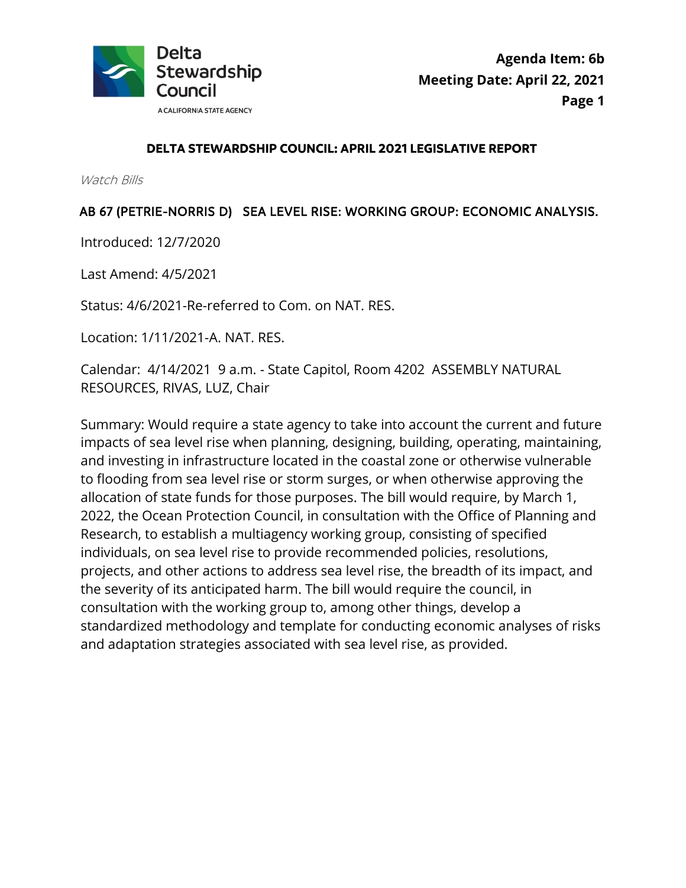

#### **DELTA STEWARDSHIP COUNCIL: APRIL 2021 LEGISLATIVE REPORT**

Watch Bills

### AB 67 (PETRIE-NORRIS D) SEA LEVEL RISE: WORKING GROUP: ECONOMIC ANALYSIS.

Introduced: 12/7/2020

Last Amend: 4/5/2021

Status: 4/6/2021-Re-referred to Com. on NAT. RES.

Location: 1/11/2021-A. NAT. RES.

 Calendar: 4/14/2021 9 a.m. - State Capitol, Room 4202 ASSEMBLY NATURAL RESOURCES, RIVAS, LUZ, Chair

Summary: Would require a state agency to take into account the current and future impacts of sea level rise when planning, designing, building, operating, maintaining, and investing in infrastructure located in the coastal zone or otherwise vulnerable to flooding from sea level rise or storm surges, or when otherwise approving the allocation of state funds for those purposes. The bill would require, by March 1, 2022, the Ocean Protection Council, in consultation with the Office of Planning and Research, to establish a multiagency working group, consisting of specified individuals, on sea level rise to provide recommended policies, resolutions, projects, and other actions to address sea level rise, the breadth of its impact, and the severity of its anticipated harm. The bill would require the council, in consultation with the working group to, among other things, develop a standardized methodology and template for conducting economic analyses of risks and adaptation strategies associated with sea level rise, as provided.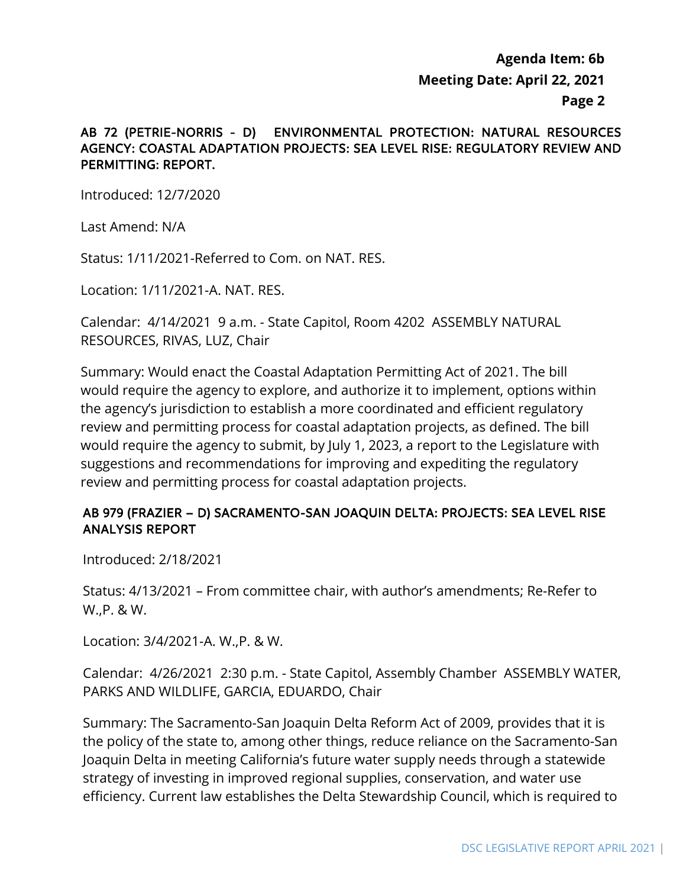#### AB 72 (PETRIE-NORRIS - D) ENVIRONMENTAL PROTECTION: NATURAL RESOURCES AGENCY: COASTAL ADAPTATION PROJECTS: SEA LEVEL RISE: REGULATORY REVIEW AND PERMITTING: REPORT.

Introduced: 12/7/2020

Last Amend: N/A

Status: 1/11/2021-Referred to Com. on NAT. RES.

Location: 1/11/2021-A. NAT. RES.

Calendar: 4/14/2021 9 a.m. - State Capitol, Room 4202 ASSEMBLY NATURAL RESOURCES, RIVAS, LUZ, Chair

Summary: Would enact the Coastal Adaptation Permitting Act of 2021. The bill would require the agency to explore, and authorize it to implement, options within the agency's jurisdiction to establish a more coordinated and efficient regulatory review and permitting process for coastal adaptation projects, as defined. The bill would require the agency to submit, by July 1, 2023, a report to the Legislature with suggestions and recommendations for improving and expediting the regulatory review and permitting process for coastal adaptation projects.

## AB 979 (FRAZIER – D) SACRAMENTO-SAN JOAQUIN DELTA: PROJECTS: SEA LEVEL RISE ANALYSIS REPORT

Introduced: 2/18/2021

Status: 4/13/2021 – From committee chair, with author's amendments; Re-Refer to W.,P. & W.

Location: 3/4/2021-A. W.,P. & W.

Calendar: 4/26/2021 2:30 p.m. - State Capitol, Assembly Chamber ASSEMBLY WATER, PARKS AND WILDLIFE, GARCIA, EDUARDO, Chair

Summary: The Sacramento-San Joaquin Delta Reform Act of 2009, provides that it is the policy of the state to, among other things, reduce reliance on the Sacramento-San Joaquin Delta in meeting California's future water supply needs through a statewide strategy of investing in improved regional supplies, conservation, and water use efficiency. Current law establishes the Delta Stewardship Council, which is required to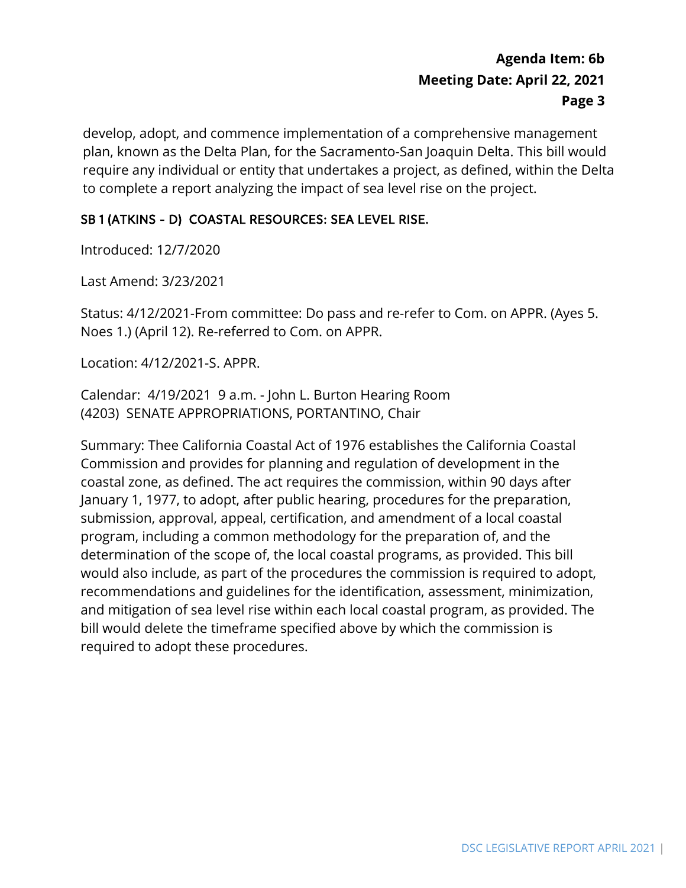develop, adopt, and commence implementation of a comprehensive management plan, known as the Delta Plan, for the Sacramento-San Joaquin Delta. This bill would require any individual or entity that undertakes a project, as defined, within the Delta to complete a report analyzing the impact of sea level rise on the project.

## SB 1 (ATKINS - D) COASTAL RESOURCES: SEA LEVEL RISE.

Introduced: 12/7/2020

Last Amend: 3/23/2021

Status: 4/12/2021-From committee: Do pass and re-refer to Com. on APPR. (Ayes 5. Noes 1.) (April 12). Re-referred to Com. on APPR.

Location: 4/12/2021-S. APPR.

 Calendar: 4/19/2021 9 a.m. - John L. Burton Hearing Room (4203) SENATE APPROPRIATIONS, PORTANTINO, Chair

Summary: Thee California Coastal Act of 1976 establishes the California Coastal Commission and provides for planning and regulation of development in the coastal zone, as defined. The act requires the commission, within 90 days after January 1, 1977, to adopt, after public hearing, procedures for the preparation, submission, approval, appeal, certification, and amendment of a local coastal program, including a common methodology for the preparation of, and the determination of the scope of, the local coastal programs, as provided. This bill would also include, as part of the procedures the commission is required to adopt, recommendations and guidelines for the identification, assessment, minimization, and mitigation of sea level rise within each local coastal program, as provided. The bill would delete the timeframe specified above by which the commission is required to adopt these procedures.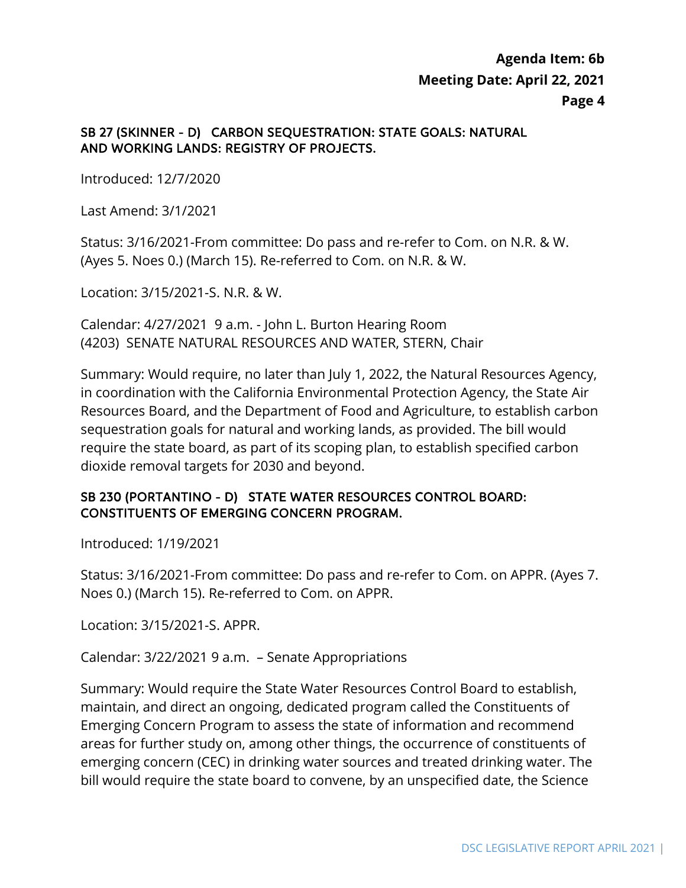#### SB 27 (SKINNER - D) CARBON SEQUESTRATION: STATE GOALS: NATURAL AND WORKING LANDS: REGISTRY OF PROJECTS.

Introduced: 12/7/2020

Last Amend: 3/1/2021

 (Ayes 5. Noes 0.) (March 15). Re-referred to Com. on N.R. & W. Status: 3/16/2021-From committee: Do pass and re-refer to Com. on N.R. & W.

Location: 3/15/2021-S. N.R. & W.

 Calendar: 4/27/2021 9 a.m. - John L. Burton Hearing Room (4203) SENATE NATURAL RESOURCES AND WATER, STERN, Chair

Summary: Would require, no later than July 1, 2022, the Natural Resources Agency, in coordination with the California Environmental Protection Agency, the State Air Resources Board, and the Department of Food and Agriculture, to establish carbon sequestration goals for natural and working lands, as provided. The bill would require the state board, as part of its scoping plan, to establish specified carbon dioxide removal targets for 2030 and beyond.

### SB 230 (PORTANTINO - D) STATE WATER RESOURCES CONTROL BOARD: CONSTITUENTS OF EMERGING CONCERN PROGRAM.

Introduced: 1/19/2021

Status: 3/16/2021-From committee: Do pass and re-refer to Com. on APPR. (Ayes 7. Noes 0.) (March 15). Re-referred to Com. on APPR.

Location: 3/15/2021-S. APPR.

Calendar: 3/22/2021 9 a.m. – Senate Appropriations

Summary: Would require the State Water Resources Control Board to establish, maintain, and direct an ongoing, dedicated program called the Constituents of Emerging Concern Program to assess the state of information and recommend areas for further study on, among other things, the occurrence of constituents of emerging concern (CEC) in drinking water sources and treated drinking water. The bill would require the state board to convene, by an unspecified date, the Science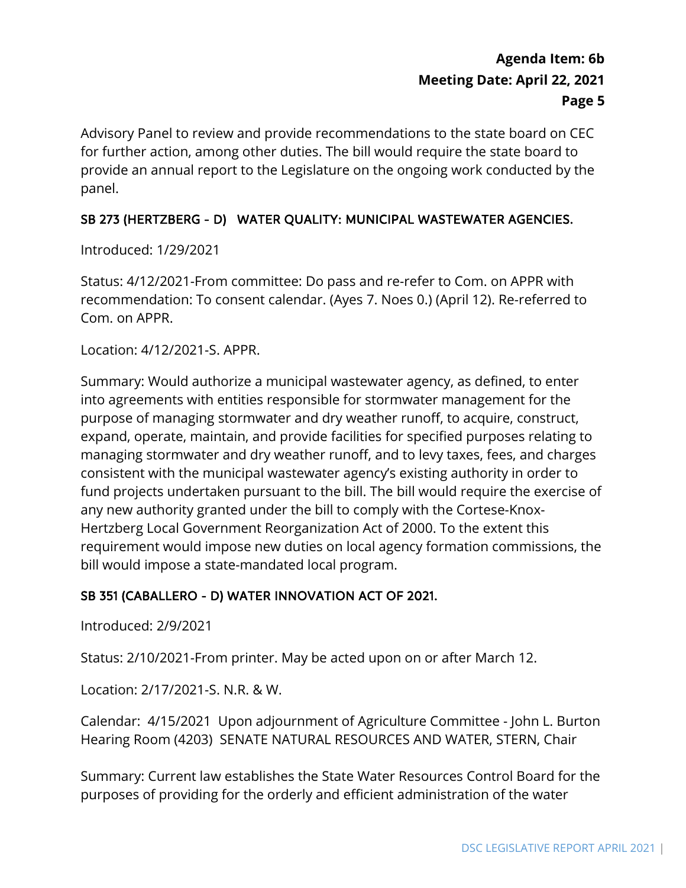Advisory Panel to review and provide recommendations to the state board on CEC for further action, among other duties. The bill would require the state board to provide an annual report to the Legislature on the ongoing work conducted by the panel.

## SB 273 (HERTZBERG - D) WATER QUALITY: MUNICIPAL WASTEWATER AGENCIES.

Introduced: 1/29/2021

Status: 4/12/2021-From committee: Do pass and re-refer to Com. on APPR with recommendation: To consent calendar. (Ayes 7. Noes 0.) (April 12). Re-referred to Com. on APPR.

Location: 4/12/2021-S. APPR.

Summary: Would authorize a municipal wastewater agency, as defined, to enter into agreements with entities responsible for stormwater management for the purpose of managing stormwater and dry weather runoff, to acquire, construct, expand, operate, maintain, and provide facilities for specified purposes relating to managing stormwater and dry weather runoff, and to levy taxes, fees, and charges consistent with the municipal wastewater agency's existing authority in order to fund projects undertaken pursuant to the bill. The bill would require the exercise of any new authority granted under the bill to comply with the Cortese-Knox-Hertzberg Local Government Reorganization Act of 2000. To the extent this requirement would impose new duties on local agency formation commissions, the bill would impose a state-mandated local program.

### SB 351 (CABALLERO - D) WATER INNOVATION ACT OF 2021.

Introduced: 2/9/2021

Status: 2/10/2021-From printer. May be acted upon on or after March 12.

Location: 2/17/2021-S. N.R. & W.

Calendar: 4/15/2021 Upon adjournment of Agriculture Committee - John L. Burton Hearing Room (4203) SENATE NATURAL RESOURCES AND WATER, STERN, Chair

 Summary: Current law establishes the State Water Resources Control Board for the purposes of providing for the orderly and efficient administration of the water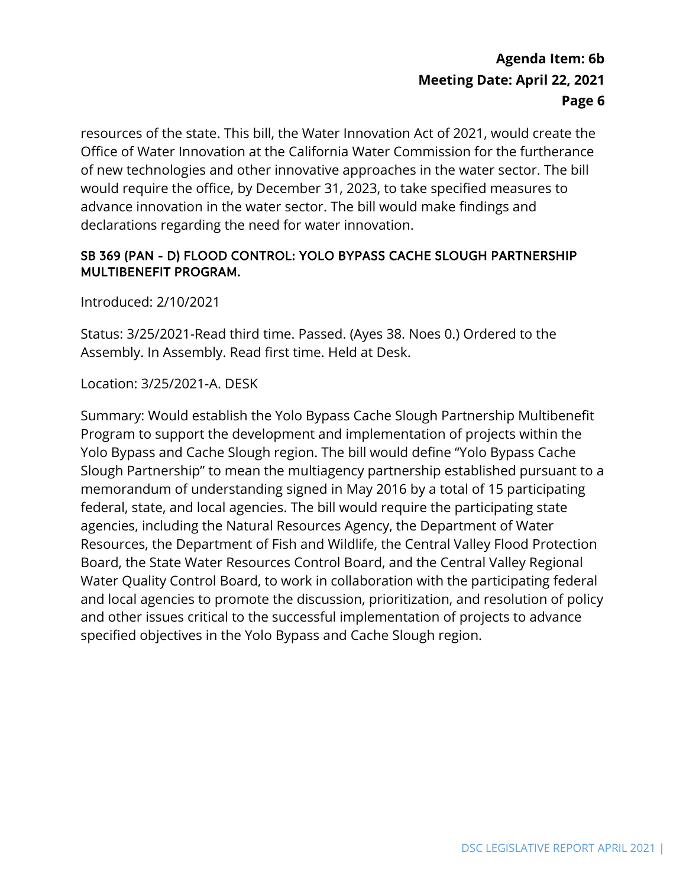resources of the state. This bill, the Water Innovation Act of 2021, would create the Office of Water Innovation at the California Water Commission for the furtherance of new technologies and other innovative approaches in the water sector. The bill would require the office, by December 31, 2023, to take specified measures to advance innovation in the water sector. The bill would make findings and declarations regarding the need for water innovation.

### SB 369 (PAN - D) FLOOD CONTROL: YOLO BYPASS CACHE SLOUGH PARTNERSHIP MULTIBENEFIT PROGRAM.

Introduced: 2/10/2021

Status: 3/25/2021-Read third time. Passed. (Ayes 38. Noes 0.) Ordered to the Assembly. In Assembly. Read first time. Held at Desk.

Location: 3/25/2021-A. DESK

Summary: Would establish the Yolo Bypass Cache Slough Partnership Multibenefit Program to support the development and implementation of projects within the Yolo Bypass and Cache Slough region. The bill would define "Yolo Bypass Cache Slough Partnership" to mean the multiagency partnership established pursuant to a memorandum of understanding signed in May 2016 by a total of 15 participating federal, state, and local agencies. The bill would require the participating state agencies, including the Natural Resources Agency, the Department of Water Resources, the Department of Fish and Wildlife, the Central Valley Flood Protection Board, the State Water Resources Control Board, and the Central Valley Regional Water Quality Control Board, to work in collaboration with the participating federal and local agencies to promote the discussion, prioritization, and resolution of policy and other issues critical to the successful implementation of projects to advance specified objectives in the Yolo Bypass and Cache Slough region.